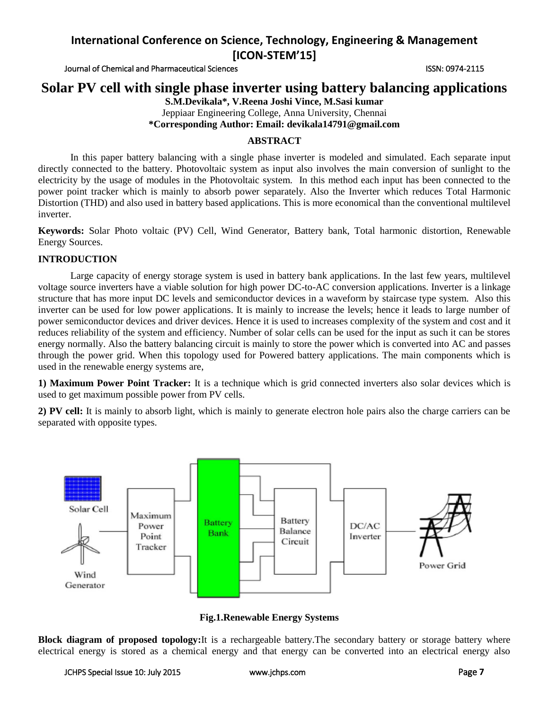Journal of Chemical and Pharmaceutical Sciences **ISSN: 0974-2115** ISSN: 0974-2115

# **Solar PV cell with single phase inverter using battery balancing applications**

**S.M.Devikala\*, V.Reena Joshi Vince, M.Sasi kumar** Jeppiaar Engineering College, Anna University, Chennai

**\*Corresponding Author: Email: devikala14791@gmail.com**

## **ABSTRACT**

In this paper battery balancing with a single phase inverter is modeled and simulated. Each separate input directly connected to the battery. Photovoltaic system as input also involves the main conversion of sunlight to the electricity by the usage of modules in the Photovoltaic system. In this method each input has been connected to the power point tracker which is mainly to absorb power separately. Also the Inverter which reduces Total Harmonic Distortion (THD) and also used in battery based applications. This is more economical than the conventional multilevel inverter.

**Keywords:** Solar Photo voltaic (PV) Cell, Wind Generator, Battery bank, Total harmonic distortion, Renewable Energy Sources.

## **INTRODUCTION**

Large capacity of energy storage system is used in battery bank applications. In the last few years, multilevel voltage source inverters have a viable solution for high power DC-to-AC conversion applications. Inverter is a linkage structure that has more input DC levels and semiconductor devices in a waveform by staircase type system. Also this inverter can be used for low power applications. It is mainly to increase the levels; hence it leads to large number of power semiconductor devices and driver devices. Hence it is used to increases complexity of the system and cost and it reduces reliability of the system and efficiency. Number of solar cells can be used for the input as such it can be stores energy normally. Also the battery balancing circuit is mainly to store the power which is converted into AC and passes through the power grid. When this topology used for Powered battery applications. The main components which is used in the renewable energy systems are,

**1) Maximum Power Point Tracker:** It is a technique which is grid connected inverters also solar devices which is used to get maximum possible power from PV cells.

**2) PV cell:** It is mainly to absorb light, which is mainly to generate electron hole pairs also the charge carriers can be separated with opposite types.



**Fig.1.Renewable Energy Systems**

**Block diagram of proposed topology:**It is a rechargeable battery.The secondary battery or storage battery where electrical energy is stored as a chemical energy and that energy can be converted into an electrical energy also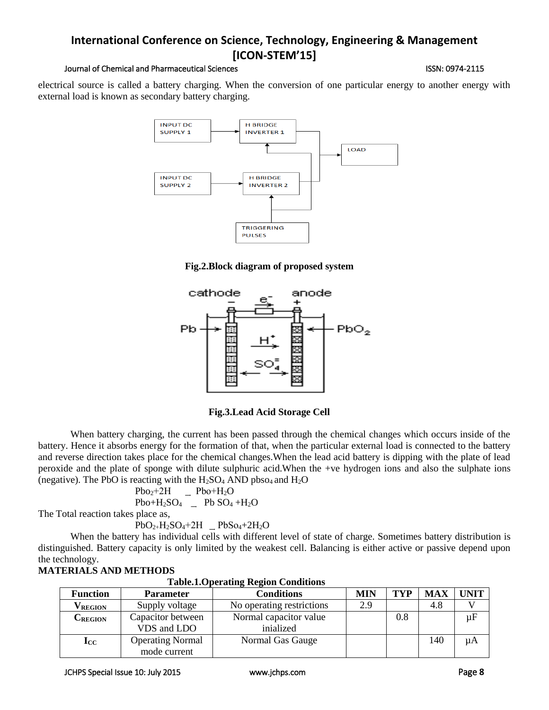## Journal of Chemical and Pharmaceutical Sciences **ISSN: 0974-2115** ISSN: 0974-2115

electrical source is called a battery charging. When the conversion of one particular energy to another energy with external load is known as secondary battery charging.



**Fig.2.Block diagram of proposed system**



**Fig.3.Lead Acid Storage Cell**

When battery charging, the current has been passed through the chemical changes which occurs inside of the battery. Hence it absorbs energy for the formation of that, when the particular external load is connected to the battery and reverse direction takes place for the chemical changes.When the lead acid battery is dipping with the plate of lead peroxide and the plate of sponge with dilute sulphuric acid.When the +ve hydrogen ions and also the sulphate ions (negative). The PbO is reacting with the  $H_2SO_4$  AND pbso<sub>4</sub> and  $H_2O$ 

 $Pbo<sub>2</sub>+2H$   $Pbo+H<sub>2</sub>O$ 

 $Pbo+H_2SO_4$   $\quad$  Pb  $SO_4$  +H<sub>2</sub>O The Total reaction takes place as,

 $PbO_{2+}H_{2}SO_{4}+2H$   $\_\}PbSo_{4}+2H_{2}O$ 

When the battery has individual cells with different level of state of charge. Sometimes battery distribution is distinguished. Battery capacity is only limited by the weakest cell. Balancing is either active or passive depend upon the technology.

| <b>Table.I.Operating Region Conditions</b> |                                         |                                     |            |     |            |             |  |
|--------------------------------------------|-----------------------------------------|-------------------------------------|------------|-----|------------|-------------|--|
| <b>Function</b>                            | <b>Parameter</b>                        | <b>Conditions</b>                   | <b>MIN</b> | TYP | <b>MAX</b> | <b>UNIT</b> |  |
| V <sub>REGION</sub>                        | Supply voltage                          | No operating restrictions           | 2.9        |     | 4.8        |             |  |
| $C_{\text{REGION}}$                        | Capacitor between<br>VDS and LDO        | Normal capacitor value<br>inialized |            | 0.8 |            | $\mu$ F     |  |
| $\mathbf{I}_{\mathrm{CC}}$                 | <b>Operating Normal</b><br>mode current | Normal Gas Gauge                    |            |     | 140        | μA          |  |

# **MATERIALS AND METHODS**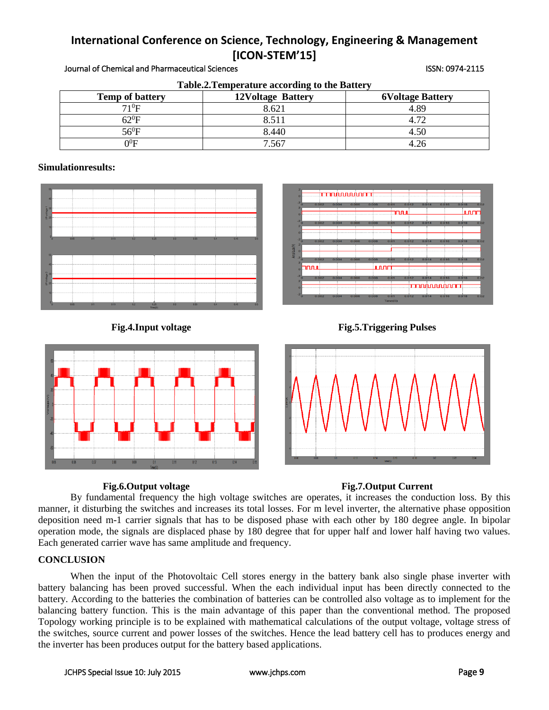| Table.2. Temperature according to the Battery |                          |                         |  |  |  |  |
|-----------------------------------------------|--------------------------|-------------------------|--|--|--|--|
| <b>Temp of battery</b>                        | <b>12Voltage Battery</b> | <b>6Voltage Battery</b> |  |  |  |  |
| $71^0$ F                                      | 8.621                    | 4.89                    |  |  |  |  |
| 62 $^0$ F                                     | 8.511                    | 4.72                    |  |  |  |  |
| $56^0\mathrm{F}$                              | 8.440                    | 4.50                    |  |  |  |  |
| $0^0\mathrm{F}$                               | 7.567                    | 4.26                    |  |  |  |  |

### Journal of Chemical and Pharmaceutical Sciences ISSN: 0974-2115

## **Simulationresults:**









# **Fig.6.Output voltage Fig.7.Output Current**

By fundamental frequency the high voltage switches are operates, it increases the conduction loss. By this manner, it disturbing the switches and increases its total losses. For m level inverter, the alternative phase opposition deposition need m-1 carrier signals that has to be disposed phase with each other by 180 degree angle. In bipolar operation mode, the signals are displaced phase by 180 degree that for upper half and lower half having two values. Each generated carrier wave has same amplitude and frequency.

## **CONCLUSION**

When the input of the Photovoltaic Cell stores energy in the battery bank also single phase inverter with battery balancing has been proved successful. When the each individual input has been directly connected to the battery. According to the batteries the combination of batteries can be controlled also voltage as to implement for the balancing battery function. This is the main advantage of this paper than the conventional method. The proposed Topology working principle is to be explained with mathematical calculations of the output voltage, voltage stress of the switches, source current and power losses of the switches. Hence the lead battery cell has to produces energy and the inverter has been produces output for the battery based applications.